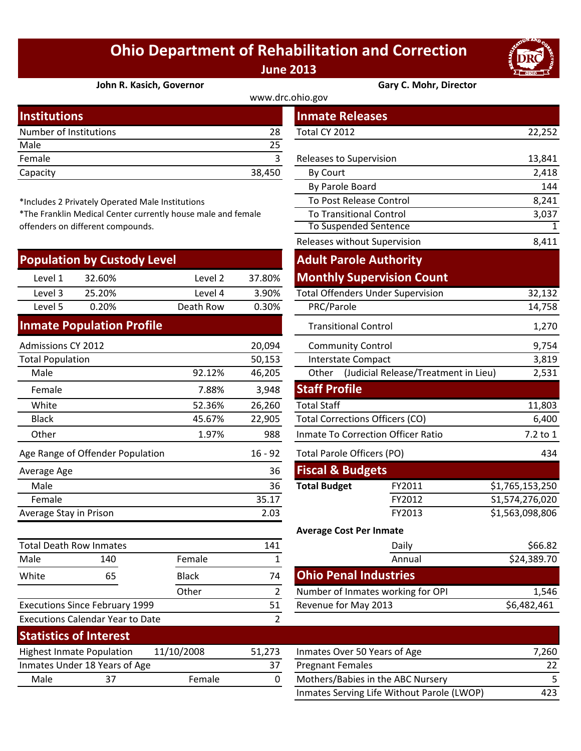## **Ohio Department of Rehabilitation and Correction June 2013**



**John R. Kasich, Governor Gary C. Mohr, Director**

| <b>Institutions</b>    |        | <b>Inmate Releases</b>         |        |
|------------------------|--------|--------------------------------|--------|
| Number of Institutions | 28     | Total CY 2012                  | 22,252 |
| Male                   | 25     |                                |        |
| Female                 |        | <b>Releases to Supervision</b> | 13,841 |
| Capacity               | 38,450 | By Court                       | 2,418  |
|                        |        |                                |        |

\*Includes 2 Privately Operated Male Institutions

\*The Franklin Medical Center currently house male and female offenders on different compounds.

| <b>Population by Custody Level</b> |        |           |        |  |  |  |
|------------------------------------|--------|-----------|--------|--|--|--|
| Level 1                            | 32.60% | Level 2   | 37.80% |  |  |  |
| Level 3                            | 25.20% | Level 4   | 3.90%  |  |  |  |
| Level 5                            | 0.20%  | Death Row | 0.30%  |  |  |  |
|                                    |        |           |        |  |  |  |

## **Inmate Population Profile**

| <b>Admissions CY 2012</b>        |        | 20,094    | <b>Community Control</b>           |                                        |                 |  |
|----------------------------------|--------|-----------|------------------------------------|----------------------------------------|-----------------|--|
| <b>Total Population</b>          |        | 50,153    |                                    | Interstate Compact                     | 3,819           |  |
| Male                             | 92.12% | 46,205    | Other                              | (Judicial Release/Treatment in Lieu)   | 2,531           |  |
| Female                           | 7.88%  | 3,948     | <b>Staff Profile</b>               |                                        |                 |  |
| White                            | 52.36% | 26,260    | <b>Total Staff</b>                 |                                        | 11,803          |  |
| <b>Black</b>                     | 45.67% | 22,905    |                                    | <b>Total Corrections Officers (CO)</b> |                 |  |
| Other                            | 1.97%  | 988       | Inmate To Correction Officer Ratio | 7.2 to 1                               |                 |  |
| Age Range of Offender Population |        | $16 - 92$ | Total Parole Officers (PO)         |                                        | 434             |  |
| Average Age                      |        | 36        | <b>Fiscal &amp; Budgets</b>        |                                        |                 |  |
| Male                             |        | 36        | <b>Total Budget</b>                | FY2011                                 | \$1,765,153,250 |  |
| Female                           |        | 35.17     |                                    | FY2012                                 | S1,574,276,020  |  |
| Average Stay in Prison           |        | 2.03      |                                    | FY2013                                 | \$1,563,098,806 |  |

| <b>Total Death Row Inmates</b> |                                         |              | 141    | Daily                                                                                                                  |
|--------------------------------|-----------------------------------------|--------------|--------|------------------------------------------------------------------------------------------------------------------------|
| Male                           | 140                                     | Female       |        | Annual                                                                                                                 |
| White                          | 65                                      | <b>Black</b> | 74     | <b>Ohio Penal Industries</b>                                                                                           |
|                                |                                         | Other        | 2      | Number of Inmates working f                                                                                            |
|                                | <b>Executions Since February 1999</b>   |              | 51     | Revenue for May 2013                                                                                                   |
|                                | <b>Executions Calendar Year to Date</b> |              | 2      |                                                                                                                        |
| <b>Statistics of Interest</b>  |                                         |              |        |                                                                                                                        |
|                                | <b>Highest Inmate Population</b>        | 11/10/2008   | 51,273 | Inmates Over 50 Years of Age                                                                                           |
|                                | Inmates Under 18 Years of Age           |              | 37     | <b>Pregnant Females</b>                                                                                                |
| Male                           | 37                                      | Female       | 0      | Mothers/Babies in the ABC N                                                                                            |
|                                |                                         |              |        | $\mathbf{r}$ . The set of $\mathbf{r}$ is the set of $\mathbf{r}$ . The set of $\mathbf{r}$ is the set of $\mathbf{r}$ |

|                                   |                                               |                                                           |                                     | www.drc.ohio.gov                         |                                            |                 |
|-----------------------------------|-----------------------------------------------|-----------------------------------------------------------|-------------------------------------|------------------------------------------|--------------------------------------------|-----------------|
| stitutions                        |                                               |                                                           |                                     | <b>Inmate Releases</b>                   |                                            |                 |
| mber of Institutions              |                                               |                                                           | 28                                  | Total CY 2012                            |                                            | 22,252          |
| le                                |                                               |                                                           | 25                                  |                                          |                                            |                 |
| nale                              |                                               |                                                           | 3                                   | Releases to Supervision                  |                                            | 13,841          |
| acity                             |                                               |                                                           | 38,450                              | By Court                                 |                                            | 2,418           |
|                                   |                                               |                                                           |                                     | By Parole Board                          |                                            | 144             |
|                                   | cludes 2 Privately Operated Male Institutions |                                                           |                                     | To Post Release Control                  |                                            | 8,241           |
|                                   |                                               | e Franklin Medical Center currently house male and female |                                     | <b>To Transitional Control</b>           |                                            | 3,037           |
|                                   | nders on different compounds.                 |                                                           |                                     | To Suspended Sentence                    |                                            | 1               |
|                                   |                                               |                                                           |                                     | Releases without Supervision             |                                            | 8,411           |
|                                   | pulation by Custody Level                     |                                                           |                                     | <b>Adult Parole Authority</b>            |                                            |                 |
| Level 1                           | 32.60%                                        | Level 2                                                   | 37.80%                              |                                          | <b>Monthly Supervision Count</b>           |                 |
| Level 3                           | 25.20%                                        | Level 4                                                   | 3.90%                               | <b>Total Offenders Under Supervision</b> |                                            | 32,132          |
| Level 5                           | 0.20%                                         | Death Row                                                 | 0.30%                               | PRC/Parole                               |                                            | 14,758          |
|                                   | mate Population Profile                       |                                                           |                                     | <b>Transitional Control</b>              |                                            | 1,270           |
| nissions CY 2012                  |                                               |                                                           | 20,094                              | <b>Community Control</b>                 |                                            | 9,754           |
| al Population                     |                                               |                                                           | 50,153                              | <b>Interstate Compact</b>                |                                            | 3,819           |
| Male                              |                                               | 92.12%                                                    | 46,205                              |                                          | Other (Judicial Release/Treatment in Lieu) | 2,531           |
| Female                            |                                               | 7.88%                                                     | 3,948                               | <b>Staff Profile</b>                     |                                            |                 |
| White                             |                                               | 52.36%                                                    | 26,260                              | <b>Total Staff</b>                       |                                            | 11,803          |
| <b>Black</b>                      |                                               | 45.67%                                                    | 22,905                              | <b>Total Corrections Officers (CO)</b>   |                                            | 6,400           |
| <b>Other</b>                      |                                               | 1.97%                                                     | 988                                 | Inmate To Correction Officer Ratio       | 7.2 to 1                                   |                 |
|                                   | Range of Offender Population                  |                                                           | $16 - 92$                           | <b>Total Parole Officers (PO)</b>        |                                            | 434             |
| rage Age                          |                                               |                                                           | 36                                  | <b>Fiscal &amp; Budgets</b>              |                                            |                 |
| Vlale                             |                                               |                                                           | 36                                  | <b>Total Budget</b>                      | FY2011                                     | \$1,765,153,250 |
| Female                            |                                               |                                                           | 35.17                               |                                          | FY2012                                     | S1,574,276,020  |
| rage Stay in Prison               |                                               |                                                           | 2.03                                |                                          | FY2013                                     | \$1,563,098,806 |
|                                   |                                               |                                                           |                                     | <b>Average Cost Per Inmate</b>           |                                            |                 |
|                                   | al Death Row Inmates                          |                                                           | 141                                 |                                          | Daily                                      | \$66.82         |
| le                                | 140                                           | Female                                                    | $\mathbf{1}$                        |                                          | Annual                                     | \$24,389.70     |
| ite                               | 65                                            | <b>Black</b>                                              | 74                                  | <b>Ohio Penal Industries</b>             |                                            |                 |
|                                   |                                               | Other                                                     | $\overline{2}$                      |                                          | Number of Inmates working for OPI          | 1,546           |
| cutions Since February 1999<br>51 |                                               |                                                           | Revenue for May 2013<br>\$6,482,461 |                                          |                                            |                 |

| Statistics of Interest                         |                               |        |                              |                                            |     |
|------------------------------------------------|-------------------------------|--------|------------------------------|--------------------------------------------|-----|
| 11/10/2008<br><b>Highest Inmate Population</b> |                               | 51.273 | Inmates Over 50 Years of Age | 7.260                                      |     |
|                                                | Inmates Under 18 Years of Age |        |                              | <b>Pregnant Females</b>                    | 22  |
| Male<br>37                                     |                               | Female |                              | Mothers/Babies in the ABC Nursery          |     |
|                                                |                               |        |                              | Inmates Serving Life Without Parole (LWOP) | 423 |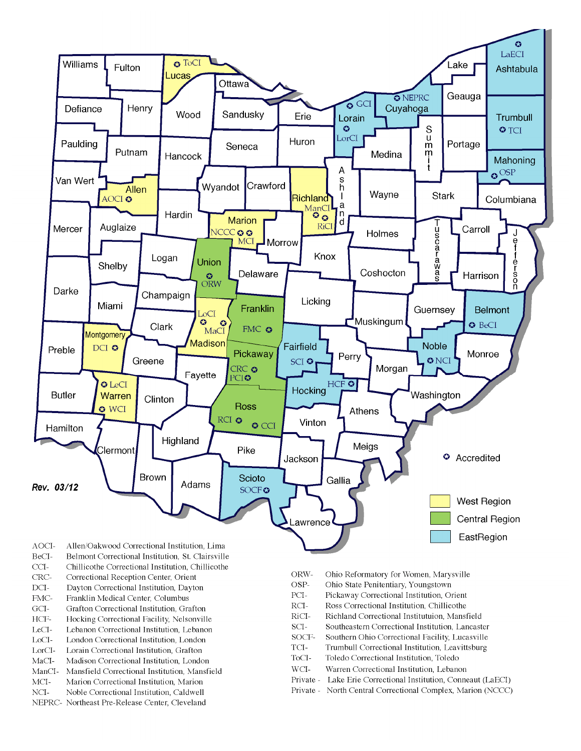

- BeCI-Belmont Correctional Institution, St. Clairsville
- $CCI-$ Chillicothe Correctional Institution, Chillicothe
- Correctional Reception Center, Orient CRC-
- $DCI-$ Dayton Correctional Institution, Dayton
- FMC-Franklin Medical Center, Columbus
- $\rm{GCI}\mbox{-}$ Grafton Correctional Institution, Grafton
- HCF-Hocking Correctional Facility, Nelsonville
- LeCI-Lebanon Correctional Institution, Lebanon
- LoCI-London Correctional Institution. London
- $\operatorname{LorCl-}$ Lorain Correctional Institution, Grafton
- $MaCI-$ Madison Correctional Institution, London
- ManCI-Mansfield Correctional Institution, Mansfield MCI-Marion Correctional Institution, Marion
- Noble Correctional Institution, Caldwell
- NCI-NEPRC- Northeast Pre-Release Center, Cleveland
- ORW-Ohio Reformatory for Women, Marysville
- OSP-Ohio State Penitentiary, Youngstown
- PCI-Pickaway Correctional Institution, Orient
- $\rm RCI-$ Ross Correctional Institution, Chillicothe
- RiCI-Richland Correctional Institutuion, Mansfield
- SCI-Southeastern Correctional Institution, Lancaster
- SOCF-Southern Ohio Correctional Facility, Lucasville
- TCI-Trumbull Correctional Institution, Leavittsburg
- ToCI-Toledo Correctional Institution, Toledo
- $WCI-$ Warren Correctional Institution, Lebanon
- Private Lake Erie Correctional Institution, Conneaut (LaECI)
- Private North Central Correctional Complex, Marion (NCCC)